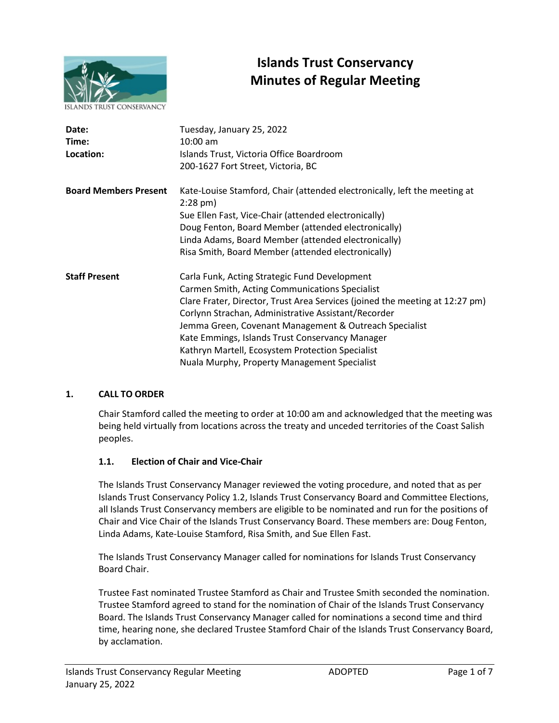

# **Islands Trust Conservancy Minutes of Regular Meeting**

| Date:<br>Time:<br>Location:  | Tuesday, January 25, 2022<br>$10:00$ am<br>Islands Trust, Victoria Office Boardroom<br>200-1627 Fort Street, Victoria, BC                                                                                                                                                                                                                                                                                                                               |
|------------------------------|---------------------------------------------------------------------------------------------------------------------------------------------------------------------------------------------------------------------------------------------------------------------------------------------------------------------------------------------------------------------------------------------------------------------------------------------------------|
| <b>Board Members Present</b> | Kate-Louise Stamford, Chair (attended electronically, left the meeting at<br>$2:28$ pm)<br>Sue Ellen Fast, Vice-Chair (attended electronically)<br>Doug Fenton, Board Member (attended electronically)<br>Linda Adams, Board Member (attended electronically)<br>Risa Smith, Board Member (attended electronically)                                                                                                                                     |
| <b>Staff Present</b>         | Carla Funk, Acting Strategic Fund Development<br>Carmen Smith, Acting Communications Specialist<br>Clare Frater, Director, Trust Area Services (joined the meeting at 12:27 pm)<br>Corlynn Strachan, Administrative Assistant/Recorder<br>Jemma Green, Covenant Management & Outreach Specialist<br>Kate Emmings, Islands Trust Conservancy Manager<br>Kathryn Martell, Ecosystem Protection Specialist<br>Nuala Murphy, Property Management Specialist |

## **1. CALL TO ORDER**

Chair Stamford called the meeting to order at 10:00 am and acknowledged that the meeting was being held virtually from locations across the treaty and unceded territories of the Coast Salish peoples.

## **1.1. Election of Chair and Vice-Chair**

The Islands Trust Conservancy Manager reviewed the voting procedure, and noted that as per Islands Trust Conservancy Policy 1.2, Islands Trust Conservancy Board and Committee Elections, all Islands Trust Conservancy members are eligible to be nominated and run for the positions of Chair and Vice Chair of the Islands Trust Conservancy Board. These members are: Doug Fenton, Linda Adams, Kate-Louise Stamford, Risa Smith, and Sue Ellen Fast.

The Islands Trust Conservancy Manager called for nominations for Islands Trust Conservancy Board Chair.

Trustee Fast nominated Trustee Stamford as Chair and Trustee Smith seconded the nomination. Trustee Stamford agreed to stand for the nomination of Chair of the Islands Trust Conservancy Board. The Islands Trust Conservancy Manager called for nominations a second time and third time, hearing none, she declared Trustee Stamford Chair of the Islands Trust Conservancy Board, by acclamation.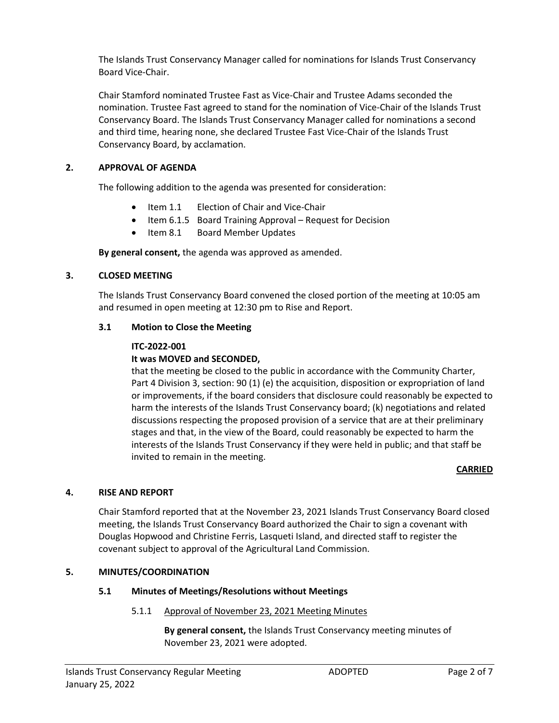The Islands Trust Conservancy Manager called for nominations for Islands Trust Conservancy Board Vice-Chair.

Chair Stamford nominated Trustee Fast as Vice-Chair and Trustee Adams seconded the nomination. Trustee Fast agreed to stand for the nomination of Vice-Chair of the Islands Trust Conservancy Board. The Islands Trust Conservancy Manager called for nominations a second and third time, hearing none, she declared Trustee Fast Vice-Chair of the Islands Trust Conservancy Board, by acclamation.

## **2. APPROVAL OF AGENDA**

The following addition to the agenda was presented for consideration:

- Item 1.1 Election of Chair and Vice-Chair
- Item 6.1.5 Board Training Approval Request for Decision
- Item 8.1 Board Member Updates

**By general consent,** the agenda was approved as amended.

## **3. CLOSED MEETING**

The Islands Trust Conservancy Board convened the closed portion of the meeting at 10:05 am and resumed in open meeting at 12:30 pm to Rise and Report.

## **3.1 Motion to Close the Meeting**

## **ITC-2022-001**

## **It was MOVED and SECONDED,**

that the meeting be closed to the public in accordance with the Community Charter, Part 4 Division 3, section: 90 (1) (e) the acquisition, disposition or expropriation of land or improvements, if the board considers that disclosure could reasonably be expected to harm the interests of the Islands Trust Conservancy board; (k) negotiations and related discussions respecting the proposed provision of a service that are at their preliminary stages and that, in the view of the Board, could reasonably be expected to harm the interests of the Islands Trust Conservancy if they were held in public; and that staff be invited to remain in the meeting.

## **CARRIED**

## **4. RISE AND REPORT**

Chair Stamford reported that at the November 23, 2021 Islands Trust Conservancy Board closed meeting, the Islands Trust Conservancy Board authorized the Chair to sign a covenant with Douglas Hopwood and Christine Ferris, Lasqueti Island, and directed staff to register the covenant subject to approval of the Agricultural Land Commission.

## **5. MINUTES/COORDINATION**

## **5.1 Minutes of Meetings/Resolutions without Meetings**

## 5.1.1 Approval of November 23, 2021 Meeting Minutes

**By general consent,** the Islands Trust Conservancy meeting minutes of November 23, 2021 were adopted.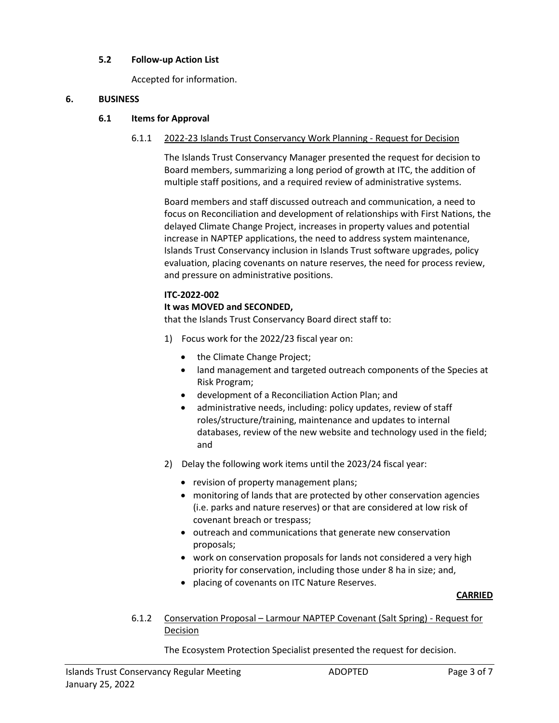## **5.2 Follow-up Action List**

Accepted for information.

#### **6. BUSINESS**

#### **6.1 Items for Approval**

#### 6.1.1 2022-23 Islands Trust Conservancy Work Planning - Request for Decision

The Islands Trust Conservancy Manager presented the request for decision to Board members, summarizing a long period of growth at ITC, the addition of multiple staff positions, and a required review of administrative systems.

Board members and staff discussed outreach and communication, a need to focus on Reconciliation and development of relationships with First Nations, the delayed Climate Change Project, increases in property values and potential increase in NAPTEP applications, the need to address system maintenance, Islands Trust Conservancy inclusion in Islands Trust software upgrades, policy evaluation, placing covenants on nature reserves, the need for process review, and pressure on administrative positions.

#### **ITC-2022-002**

#### **It was MOVED and SECONDED,**

that the Islands Trust Conservancy Board direct staff to:

- 1) Focus work for the 2022/23 fiscal year on:
	- the Climate Change Project;
	- land management and targeted outreach components of the Species at Risk Program;
	- development of a Reconciliation Action Plan; and
	- administrative needs, including: policy updates, review of staff roles/structure/training, maintenance and updates to internal databases, review of the new website and technology used in the field; and
- 2) Delay the following work items until the 2023/24 fiscal year:
	- revision of property management plans;
	- monitoring of lands that are protected by other conservation agencies (i.e. parks and nature reserves) or that are considered at low risk of covenant breach or trespass;
	- outreach and communications that generate new conservation proposals;
	- work on conservation proposals for lands not considered a very high priority for conservation, including those under 8 ha in size; and,
	- placing of covenants on ITC Nature Reserves.

#### **CARRIED**

6.1.2 Conservation Proposal – Larmour NAPTEP Covenant (Salt Spring) - Request for Decision

The Ecosystem Protection Specialist presented the request for decision.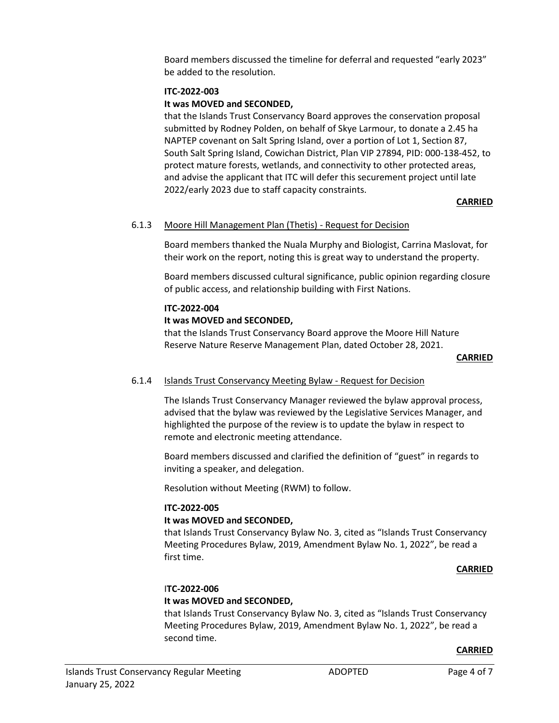Board members discussed the timeline for deferral and requested "early 2023" be added to the resolution.

#### **ITC-2022-003**

## **It was MOVED and SECONDED,**

that the Islands Trust Conservancy Board approves the conservation proposal submitted by Rodney Polden, on behalf of Skye Larmour, to donate a 2.45 ha NAPTEP covenant on Salt Spring Island, over a portion of Lot 1, Section 87, South Salt Spring Island, Cowichan District, Plan VIP 27894, PID: 000-138-452, to protect mature forests, wetlands, and connectivity to other protected areas, and advise the applicant that ITC will defer this securement project until late 2022/early 2023 due to staff capacity constraints.

## **CARRIED**

## 6.1.3 Moore Hill Management Plan (Thetis) - Request for Decision

Board members thanked the Nuala Murphy and Biologist, Carrina Maslovat, for their work on the report, noting this is great way to understand the property.

Board members discussed cultural significance, public opinion regarding closure of public access, and relationship building with First Nations.

#### **ITC-2022-004**

## **It was MOVED and SECONDED,**

that the Islands Trust Conservancy Board approve the Moore Hill Nature Reserve Nature Reserve Management Plan, dated October 28, 2021.

#### **CARRIED**

## 6.1.4 Islands Trust Conservancy Meeting Bylaw - Request for Decision

The Islands Trust Conservancy Manager reviewed the bylaw approval process, advised that the bylaw was reviewed by the Legislative Services Manager, and highlighted the purpose of the review is to update the bylaw in respect to remote and electronic meeting attendance.

Board members discussed and clarified the definition of "guest" in regards to inviting a speaker, and delegation.

Resolution without Meeting (RWM) to follow.

#### **ITC-2022-005**

#### **It was MOVED and SECONDED,**

that Islands Trust Conservancy Bylaw No. 3, cited as "Islands Trust Conservancy Meeting Procedures Bylaw, 2019, Amendment Bylaw No. 1, 2022", be read a first time.

#### **CARRIED**

## I**TC-2022-006**

## **It was MOVED and SECONDED,**

that Islands Trust Conservancy Bylaw No. 3, cited as "Islands Trust Conservancy Meeting Procedures Bylaw, 2019, Amendment Bylaw No. 1, 2022", be read a second time.

#### **CARRIED**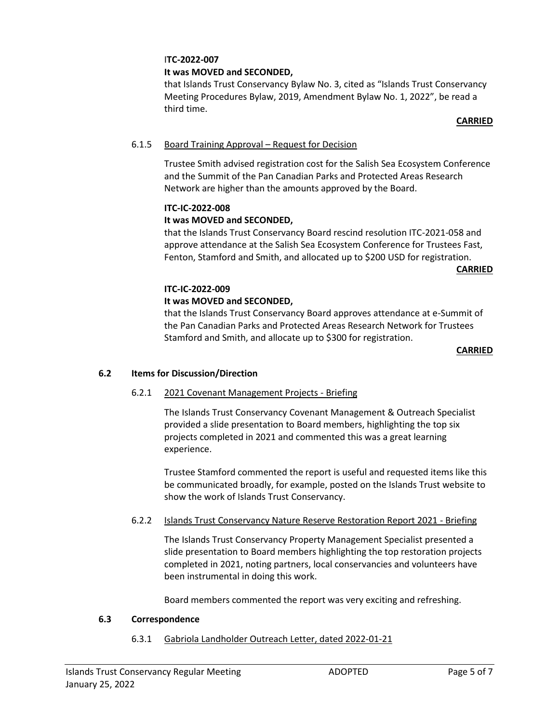#### I**TC-2022-007 It was MOVED and SECONDED,**

that Islands Trust Conservancy Bylaw No. 3, cited as "Islands Trust Conservancy Meeting Procedures Bylaw, 2019, Amendment Bylaw No. 1, 2022", be read a third time.

#### **CARRIED**

## 6.1.5 Board Training Approval – Request for Decision

Trustee Smith advised registration cost for the Salish Sea Ecosystem Conference and the Summit of the Pan Canadian Parks and Protected Areas Research Network are higher than the amounts approved by the Board.

## **ITC-IC-2022-008**

## **It was MOVED and SECONDED,**

that the Islands Trust Conservancy Board rescind resolution ITC-2021-058 and approve attendance at the Salish Sea Ecosystem Conference for Trustees Fast, Fenton, Stamford and Smith, and allocated up to \$200 USD for registration.

**CARRIED**

## **ITC-IC-2022-009**

## **It was MOVED and SECONDED,**

that the Islands Trust Conservancy Board approves attendance at e-Summit of the Pan Canadian Parks and Protected Areas Research Network for Trustees Stamford and Smith, and allocate up to \$300 for registration.

#### **CARRIED**

## **6.2 Items for Discussion/Direction**

## 6.2.1 2021 Covenant Management Projects - Briefing

The Islands Trust Conservancy Covenant Management & Outreach Specialist provided a slide presentation to Board members, highlighting the top six projects completed in 2021 and commented this was a great learning experience.

Trustee Stamford commented the report is useful and requested items like this be communicated broadly, for example, posted on the Islands Trust website to show the work of Islands Trust Conservancy.

## 6.2.2 Islands Trust Conservancy Nature Reserve Restoration Report 2021 - Briefing

The Islands Trust Conservancy Property Management Specialist presented a slide presentation to Board members highlighting the top restoration projects completed in 2021, noting partners, local conservancies and volunteers have been instrumental in doing this work.

Board members commented the report was very exciting and refreshing.

#### **6.3 Correspondence**

6.3.1 Gabriola Landholder Outreach Letter, dated 2022-01-21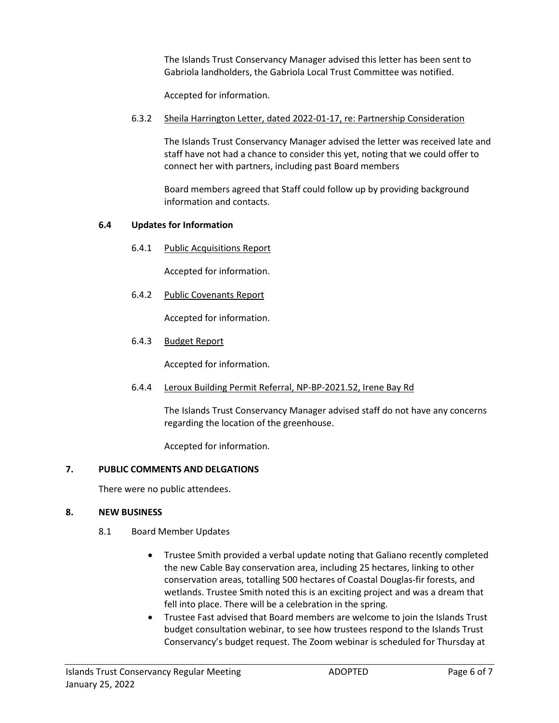The Islands Trust Conservancy Manager advised this letter has been sent to Gabriola landholders, the Gabriola Local Trust Committee was notified.

Accepted for information.

6.3.2 Sheila Harrington Letter, dated 2022-01-17, re: Partnership Consideration

The Islands Trust Conservancy Manager advised the letter was received late and staff have not had a chance to consider this yet, noting that we could offer to connect her with partners, including past Board members

Board members agreed that Staff could follow up by providing background information and contacts.

## **6.4 Updates for Information**

6.4.1 Public Acquisitions Report

Accepted for information.

6.4.2 Public Covenants Report

Accepted for information.

6.4.3 Budget Report

Accepted for information.

6.4.4 Leroux Building Permit Referral, NP-BP-2021.52, Irene Bay Rd

The Islands Trust Conservancy Manager advised staff do not have any concerns regarding the location of the greenhouse.

Accepted for information.

#### **7. PUBLIC COMMENTS AND DELGATIONS**

There were no public attendees.

#### **8. NEW BUSINESS**

- 8.1 Board Member Updates
	- Trustee Smith provided a verbal update noting that Galiano recently completed the new Cable Bay conservation area, including 25 hectares, linking to other conservation areas, totalling 500 hectares of Coastal Douglas-fir forests, and wetlands. Trustee Smith noted this is an exciting project and was a dream that fell into place. There will be a celebration in the spring.
	- Trustee Fast advised that Board members are welcome to join the Islands Trust budget consultation webinar, to see how trustees respond to the Islands Trust Conservancy's budget request. The Zoom webinar is scheduled for Thursday at